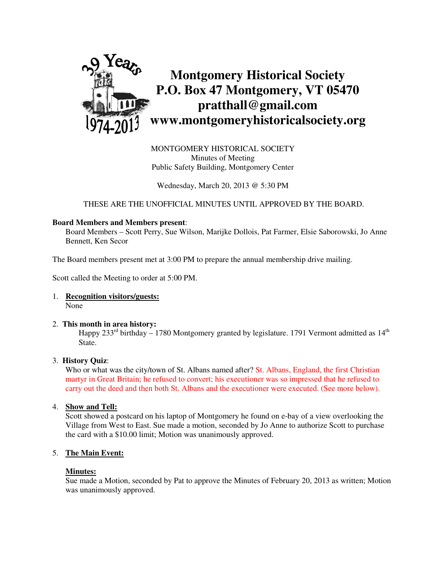

MONTGOMERY HISTORICAL SOCIETY Minutes of Meeting Public Safety Building, Montgomery Center

Wednesday, March 20, 2013 @ 5:30 PM

THESE ARE THE UNOFFICIAL MINUTES UNTIL APPROVED BY THE BOARD.

#### **Board Members and Members present**:

Board Members – Scott Perry, Sue Wilson, Marijke Dollois, Pat Farmer, Elsie Saborowski, Jo Anne Bennett, Ken Secor

The Board members present met at 3:00 PM to prepare the annual membership drive mailing.

Scott called the Meeting to order at 5:00 PM.

1. **Recognition visitors/guests:** None

#### 2. **This month in area history:**

Happy  $233<sup>rd</sup>$  birthday – 1780 Montgomery granted by legislature. 1791 Vermont admitted as  $14<sup>th</sup>$ State.

#### 3. **History Quiz**:

Who or what was the city/town of St. Albans named after? St. Albans, England, the first Christian martyr in Great Britain; he refused to convert; his executioner was so impressed that he refused to carry out the deed and then both St. Albans and the executioner were executed. (See more below).

4. **Show and Tell:** 

 Scott showed a postcard on his laptop of Montgomery he found on e-bay of a view overlooking the Village from West to East. Sue made a motion, seconded by Jo Anne to authorize Scott to purchase the card with a \$10.00 limit; Motion was unanimously approved.

### 5. **The Main Event:**

#### **Minutes:**

Sue made a Motion, seconded by Pat to approve the Minutes of February 20, 2013 as written; Motion was unanimously approved.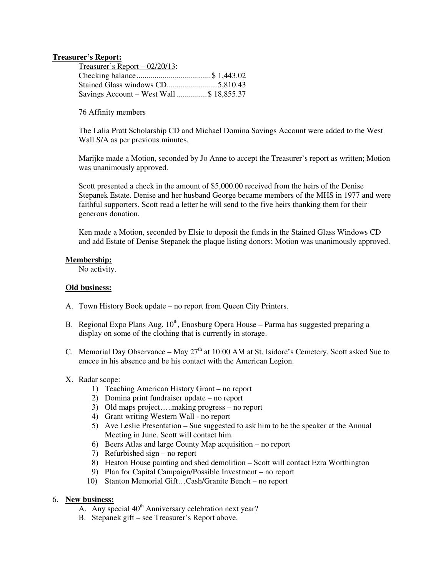#### **Treasurer's Report:**

| $T$ reasurer's Report – 02/20/13:        |  |
|------------------------------------------|--|
|                                          |  |
|                                          |  |
| Savings Account – West Wall \$ 18,855.37 |  |

76 Affinity members

The Lalia Pratt Scholarship CD and Michael Domina Savings Account were added to the West Wall S/A as per previous minutes.

Marijke made a Motion, seconded by Jo Anne to accept the Treasurer's report as written; Motion was unanimously approved.

Scott presented a check in the amount of \$5,000.00 received from the heirs of the Denise Stepanek Estate. Denise and her husband George became members of the MHS in 1977 and were faithful supporters. Scott read a letter he will send to the five heirs thanking them for their generous donation.

Ken made a Motion, seconded by Elsie to deposit the funds in the Stained Glass Windows CD and add Estate of Denise Stepanek the plaque listing donors; Motion was unanimously approved.

#### **Membership:**

No activity.

#### **Old business:**

- A. Town History Book update no report from Queen City Printers.
- B. Regional Expo Plans Aug.  $10^{th}$ , Enosburg Opera House Parma has suggested preparing a display on some of the clothing that is currently in storage.
- C. Memorial Day Observance May  $27<sup>th</sup>$  at 10:00 AM at St. Isidore's Cemetery. Scott asked Sue to emcee in his absence and be his contact with the American Legion.
- X. Radar scope:
	- 1) Teaching American History Grant no report
	- 2) Domina print fundraiser update no report
	- 3) Old maps project…..making progress no report
	- 4) Grant writing Western Wall no report
	- 5) Ave Leslie Presentation Sue suggested to ask him to be the speaker at the Annual Meeting in June. Scott will contact him.
	- 6) Beers Atlas and large County Map acquisition no report
	- 7) Refurbished sign no report
	- 8) Heaton House painting and shed demolition Scott will contact Ezra Worthington
	- 9) Plan for Capital Campaign/Possible Investment no report
	- 10) Stanton Memorial Gift…Cash/Granite Bench no report

### 6. **New business:**

- A. Any special 40<sup>th</sup> Anniversary celebration next year?
- B. Stepanek gift see Treasurer's Report above.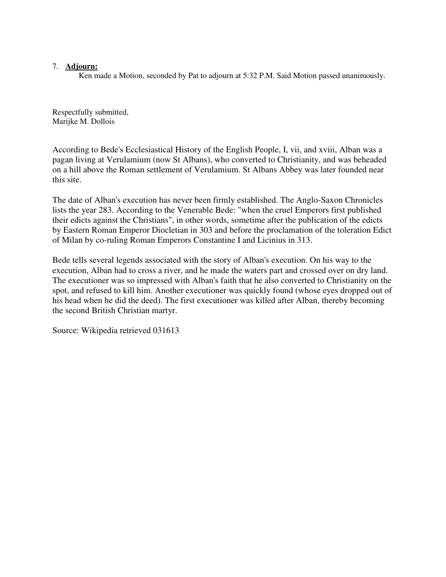## 7. **Adjourn:**

Ken made a Motion, seconded by Pat to adjourn at 5:32 P.M. Said Motion passed unanimously.

Respectfully submitted, Marijke M. Dollois

According to Bede's Ecclesiastical History of the English People, I, vii, and xviii, Alban was a pagan living at Verulamium (now St Albans), who converted to Christianity, and was beheaded on a hill above the Roman settlement of Verulamium. St Albans Abbey was later founded near this site.

The date of Alban's execution has never been firmly established. The Anglo-Saxon Chronicles lists the year 283. According to the Venerable Bede: "when the cruel Emperors first published their edicts against the Christians", in other words, sometime after the publication of the edicts by Eastern Roman Emperor Diocletian in 303 and before the proclamation of the toleration Edict of Milan by co-ruling Roman Emperors Constantine I and Licinius in 313.

Bede tells several legends associated with the story of Alban's execution. On his way to the execution, Alban had to cross a river, and he made the waters part and crossed over on dry land. The executioner was so impressed with Alban's faith that he also converted to Christianity on the spot, and refused to kill him. Another executioner was quickly found (whose eyes dropped out of his head when he did the deed). The first executioner was killed after Alban, thereby becoming the second British Christian martyr.

Source: Wikipedia retrieved 031613